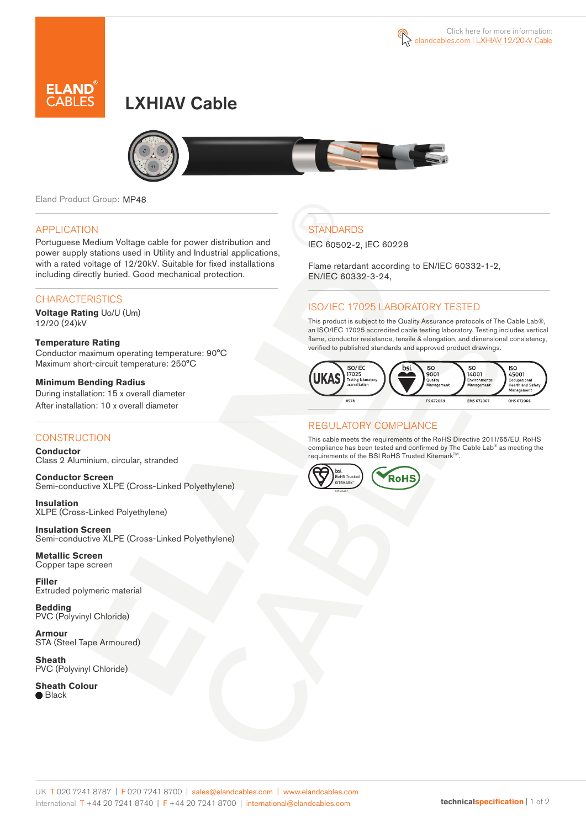

# LXHIAV Cable



Eland Product Group: MP48

### APPLICATION

Portuguese Medium Voltage cable for power distribution and power supply stations used in Utility and Industrial applications, with a rated voltage of 12/20kV. Suitable for fixed installations including directly buried. Good mechanical protection.

### **CHARACTERISTICS**

**Voltage Rating** Uo/U (Um) 12/20 (24)kV

#### **Temperature Rating**  Conductor maximum operating temperature: 90°C Maximum short-circuit temperature: 250°C

**Minimum Bending Radius**  During installation: 15 x overall diameter After installation: 10 x overall diameter

### **CONSTRUCTION**

**Conductor**  Class 2 Aluminium, circular, stranded

**Conductor Screen** Semi-conductive XLPE (Cross-Linked Polyethylene)

**Insulation** XLPE (Cross-Linked Polyethylene)

**Insulation Screen** Semi-conductive XLPE (Cross-Linked Polyethylene)

**Metallic Screen**  Copper tape screen

**Filler** Extruded polymeric material

**Bedding** PVC (Polyvinyl Chloride)

**Armour** STA (Steel Tape Armoured)

**Sheath** PVC (Polyvinyl Chloride)

**Sheath Colour**

● Black

## **STANDARDS**

IEC 60502-2, IEC 60228

Flame retardant according to EN/IEC 60332-1-2, EN/IEC 60332-3-24,

### ISO/IEC 17025 LABORATORY TESTED

This product is subject to the Quality Assurance protocols of The Cable Lab®, an ISO/IEC 17025 accredited cable testing laboratory. Testing includes vertical flame, conductor resistance, tensile & elongation, and dimensional consistency, verified to published standards and approved product drawings.



### REGULATORY COMPLIANCE

This cable meets the requirements of the RoHS Directive 2011/65/EU. RoHS compliance has been tested and confirmed by The Cable Lab® as meeting the requirements of the BSI RoHS Trusted KitemarkTM.